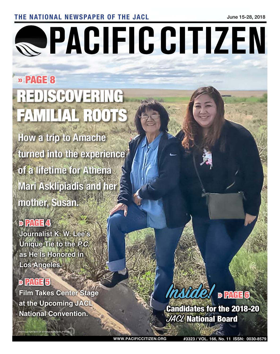#### THE NATIONAL NEWSPAPER OF THE JACL State of the state of the state of the state of the state of the state of the state of the state of the state of the state of the state of the state of the state of the state of the state

# **QPACIFIC CITIZEN**

# » PAGE 8 REDISCOVERING FAMILIAL ROOT

**How a trip to Amache turned into the experience of a lifetime for Athena Mari Asklipiadis and her mother, Susan.**

### $D$   $P$  $A$   $A$

**Journalist K. W. Lee's Unique Tie to the** *P.C.* **as He Is Honored in Los Angeles.**

## » PAGE 5

.<br>DTO: COURTESY OF ATHENA MARI ASKLIPIAI

**Film Takes Center Stage at the Upcoming JACL National Convention.** 

## **Inside!** » PAGE 6

Candidates for the 2018-20 **JACL** National Board

**WWW.PACIFICCITIZEN.ORG #3323 / VOL. 166, No. 11 ISSN: 0030-8579**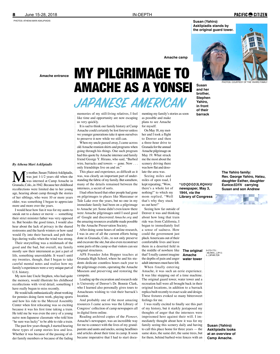#### 8 June 15-28, 2018 IN-DEPTH

PHOTOS: ATHENA MARI ASKLIPIADIS

**Susan (Yahiro) Asklipiadis stands by the original guard tower.**

**PACIFIC CITIZEN** PHOTOS: COURTESY OF

**Amache camp**

#### *By Athena Mari Asklipiadis*

**M** y mother, Susan (Yahiro) Asklipiadis, was just 1-1/2 years old when she Granada, Colo., in 1942. Because her childhood was just 1-1⁄2 years old when she was interned at Camp Amache in recollections were limited due to her young age, hearing about camp through the stories of her siblings, who were 10 or more years older, was something I began to appreciate more and more over the years.

I would hear how fun it was for my aunts to sneak out to a dance or movie — something their strict minister father was very opposed to. But besides the good times, I would also hear about the lack of privacy in the shared restrooms and the harsh winters or how sand would fly into their barrack and pelt their legs during walks when the wind was strong.

Their storytelling was a mishmash of the good and the bad, but overall, my family mostly saw their internment as just a part of life, something unavoidable. It wasn't until my twenties, though, that I began to take careful mental notes and realize how my family's experiences were a very unique part of U.S. history.

My now-late Uncle Stephen, who had quite the memory, would illustrate his childhood recollections with vivid detail, something I have really begun to miss recently.

He would talk enthusiastically about working for pennies doing farm work, playing sports and how his ride to the Merced Assembly Center when first relocating was so exciting because it was his first time taking a train. He told me he was even the envy of a young naive non-Japanese classmate who told him "he sure was lucky" to be able to ride a train.

The past few years though, I started hearing these types of camp stories less and less. Whether it was because of the passing of older family members or because of the fading

## **Amache entrance** MY PILGRIMAGE TO AMACHE AS A YONSEI **JAPANESE AMERICAN**

memories of my still-living relatives, I feel like time and opportunity are now escaping us very quickly.

It is sad to think our family history at Camp Amache could certainly be lost forever unless we younger generations take it upon ourselves to preserve it now while we still can.

When my uncle passed away, I came across old Amache reunion shirts and programs when going through his things. One such program had this quote by Amache internee and family friend George Y. Hirano, who said, "Barbed wire, barracks and towers — gone. Now . . . only friendships live on and on."

This place and experience, as difficult as it was, was clearly an important part of understanding the fabric of my family. But somehow, many of the details remained between the internees, a secret of sorts.

I had often heard that other people had gone on pilgrimages to places like Manzanar or Tule Lake over the years, but no one in my immediate family had been on a pilgrimage to Amache yet. Some didn't even know there were Amache pilgrimages until I used good ol' Google and discovered *Amache.org* and the amazing resources available made possible by the Amache Preservation Society.

After doing some hours of online research, I was in awe of all the current efforts being done in Granada, Colo., to not only preserve and excavate the site, but also even reconstruct some parts of the camp so that visitors can see original structures.

APS Founder John Hopper teaches at Granada High School, where he and his students dedicate countless hours each year to the pilgrimage events, operating the Amache Museum and preserving and restoring the campsite.

Leading up the excavation and research side is University of Denver's Dr. Bonnie Clark, who I learned also personally gives tours to Amacheans wishing to visit their barrack's location.

And probably one of the most amazing resources I came across was the Library of Congress' collection of camp newspapers all in digital form online.

Reading archived copies of the *Pioneer*, Amache's newspaper, was an incredible way for me to connect with the lives of my grandparents and aunts and uncles, seeing headlines and articles about their time in camp. It soon became imperative that I had to start documenting my family's stories as soon

as possible and make plans to see Amache for myself.

On May 18, my mother and I took a flight to Denver and then a three-hour drive to Granada for the annual Amache pilgrimage on May 19. What struck me the most about the scenery driving there was how flat and desolate the area was.

miles of open road, I kept repeating, "Wow, there's a whole lot of nothing!" to which my mom replied, "Well that's why they stuck us out here!"

Seeing how far outside of Denver it was and thinking about how long that train ride was from California, I began to immediately feel a sense of sadness. How could the government just pluck Americans out of their comfortable lives and leave them in a deserted field in the middle of nowhere like that? I really cannot imagine the depths of pain and anger adult internees must have felt. When finally entering

Amache, it was such an eerie experience. It was like stepping out of a time machine. The original guard tower, water tower and a recreation hall were all brought back in their original locations, in addition to a barrack replica built recently to exact scale and design. These fixtures evoked so many bittersweet feelings for me.

I was really excited to finally see this part of my history, but it starkly juxtaposed my thoughts of anger that the internees were imprisoned here against their will. I immediately thought about how it was for my family seeing this scenery daily and having to call this place home for three years — the same skies, the same dirt, the same trees, but for them, behind barbed-wire fences with an

**Susan and her brother, Stephen Yahiro,** 

> **The Yahiro family: Rev. George Yahiro, Hatsu, daughter Esther, daughter**  Eunice **EDFN**Dcarrying **Susan and son Andrew**

**in front of their barrack**

Seeing miles and

**UDDGDSLRHHU newspaper, May 3, 1944, via the Library of Congress**

> The original 맘 **Amache water tower**

',6&29(51,.(25\*(11,.(\$/%80,7(06

**Susan (Yahiro) Asklipiadis looks at an overview of Camp Amache.**